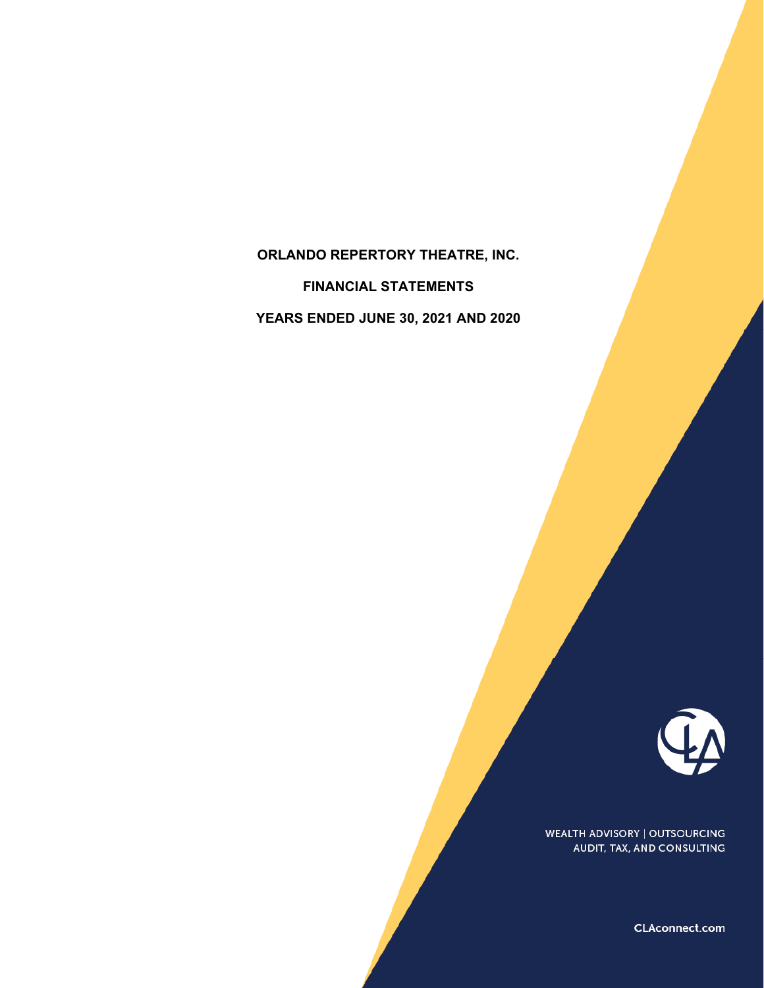# **ORLANDO REPERTORY THEATRE, INC. FINANCIAL STATEMENTS YEARS ENDED JUNE 30, 2021 AND 2020**



**WEALTH ADVISORY | OUTSOURCING** AUDIT, TAX, AND CONSULTING

CLAconnect.com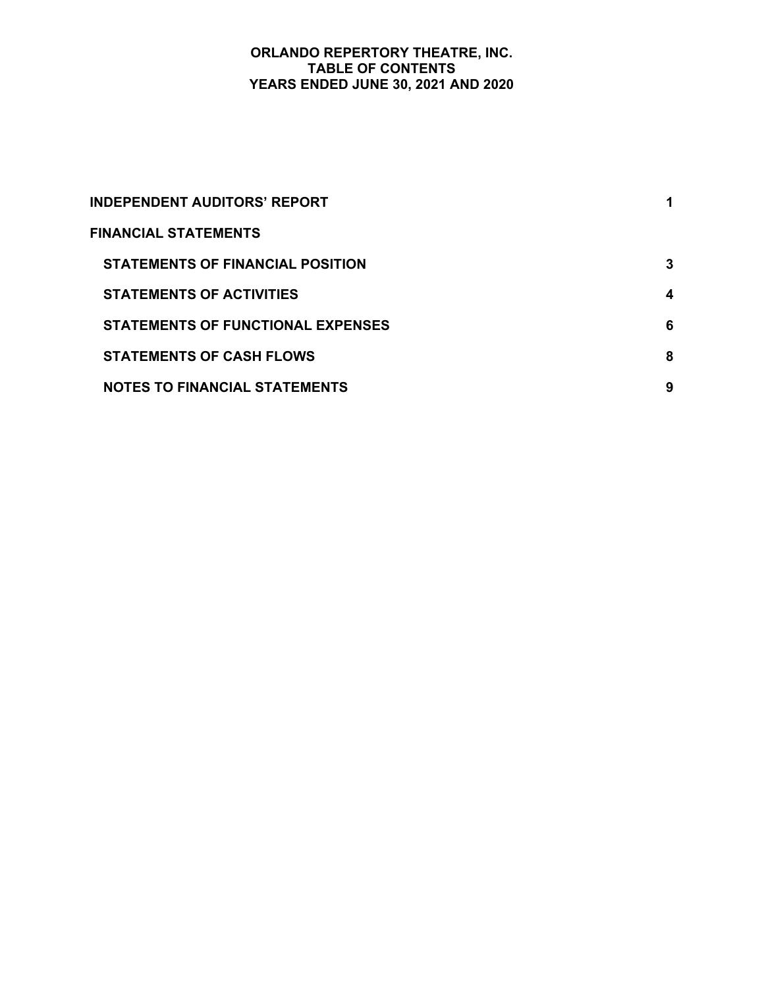## **ORLANDO REPERTORY THEATRE, INC. TABLE OF CONTENTS YEARS ENDED JUNE 30, 2021 AND 2020**

| <b>INDEPENDENT AUDITORS' REPORT</b>      |   |
|------------------------------------------|---|
| <b>FINANCIAL STATEMENTS</b>              |   |
| <b>STATEMENTS OF FINANCIAL POSITION</b>  | 3 |
| <b>STATEMENTS OF ACTIVITIES</b>          | 4 |
| <b>STATEMENTS OF FUNCTIONAL EXPENSES</b> | 6 |
| <b>STATEMENTS OF CASH FLOWS</b>          | 8 |
| <b>NOTES TO FINANCIAL STATEMENTS</b>     | 9 |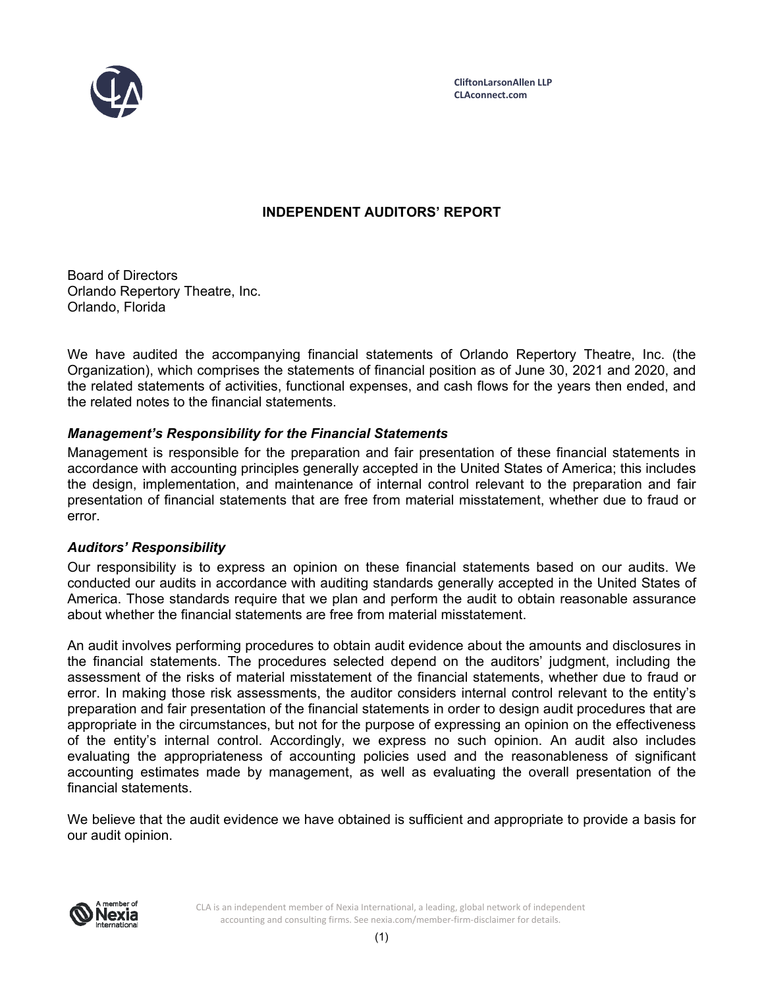

# **INDEPENDENT AUDITORS' REPORT**

Board of Directors Orlando Repertory Theatre, Inc. Orlando, Florida

We have audited the accompanying financial statements of Orlando Repertory Theatre, Inc. (the Organization), which comprises the statements of financial position as of June 30, 2021 and 2020, and the related statements of activities, functional expenses, and cash flows for the years then ended, and the related notes to the financial statements.

# *Management's Responsibility for the Financial Statements*

Management is responsible for the preparation and fair presentation of these financial statements in accordance with accounting principles generally accepted in the United States of America; this includes the design, implementation, and maintenance of internal control relevant to the preparation and fair presentation of financial statements that are free from material misstatement, whether due to fraud or error.

# *Auditors' Responsibility*

Our responsibility is to express an opinion on these financial statements based on our audits. We conducted our audits in accordance with auditing standards generally accepted in the United States of America. Those standards require that we plan and perform the audit to obtain reasonable assurance about whether the financial statements are free from material misstatement.

An audit involves performing procedures to obtain audit evidence about the amounts and disclosures in the financial statements. The procedures selected depend on the auditors' judgment, including the assessment of the risks of material misstatement of the financial statements, whether due to fraud or error. In making those risk assessments, the auditor considers internal control relevant to the entity's preparation and fair presentation of the financial statements in order to design audit procedures that are appropriate in the circumstances, but not for the purpose of expressing an opinion on the effectiveness of the entity's internal control. Accordingly, we express no such opinion. An audit also includes evaluating the appropriateness of accounting policies used and the reasonableness of significant accounting estimates made by management, as well as evaluating the overall presentation of the financial statements.

We believe that the audit evidence we have obtained is sufficient and appropriate to provide a basis for our audit opinion.



CLA is an independent member of Nexia International, a leading, global network of independent accounting and consulting firms. See nexia.com/member‐firm‐disclaimer for details.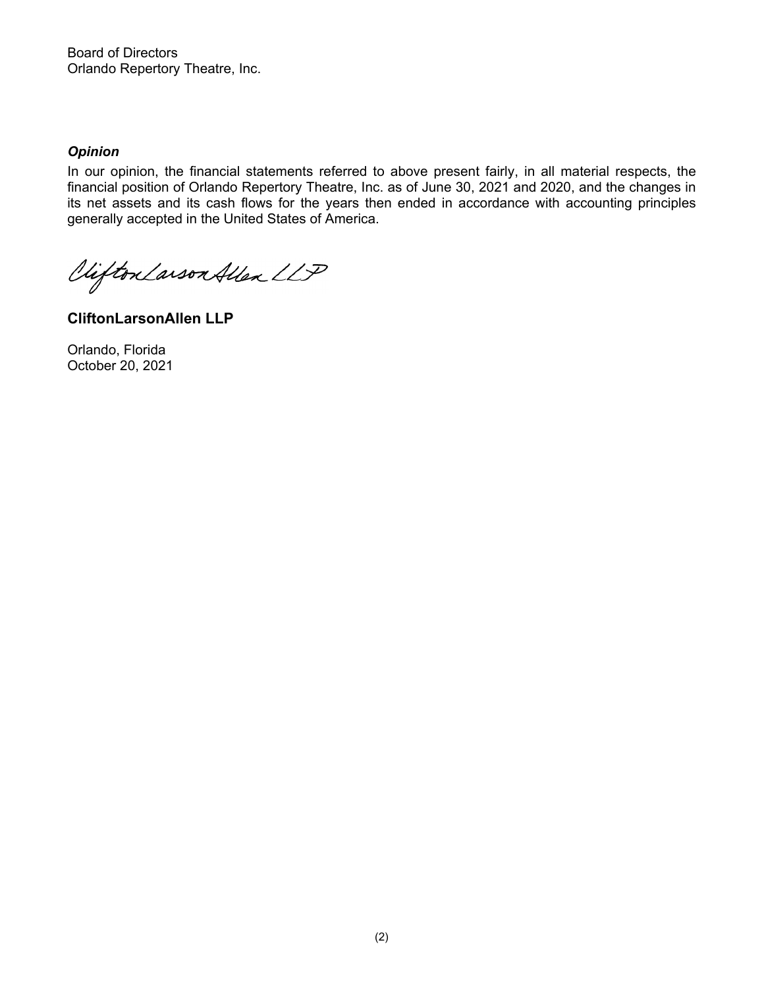Board of Directors Orlando Repertory Theatre, Inc.

## *Opinion*

In our opinion, the financial statements referred to above present fairly, in all material respects, the financial position of Orlando Repertory Theatre, Inc. as of June 30, 2021 and 2020, and the changes in its net assets and its cash flows for the years then ended in accordance with accounting principles generally accepted in the United States of America.

Viifton Larson Allen LLP

**CliftonLarsonAllen LLP** 

Orlando, Florida October 20, 2021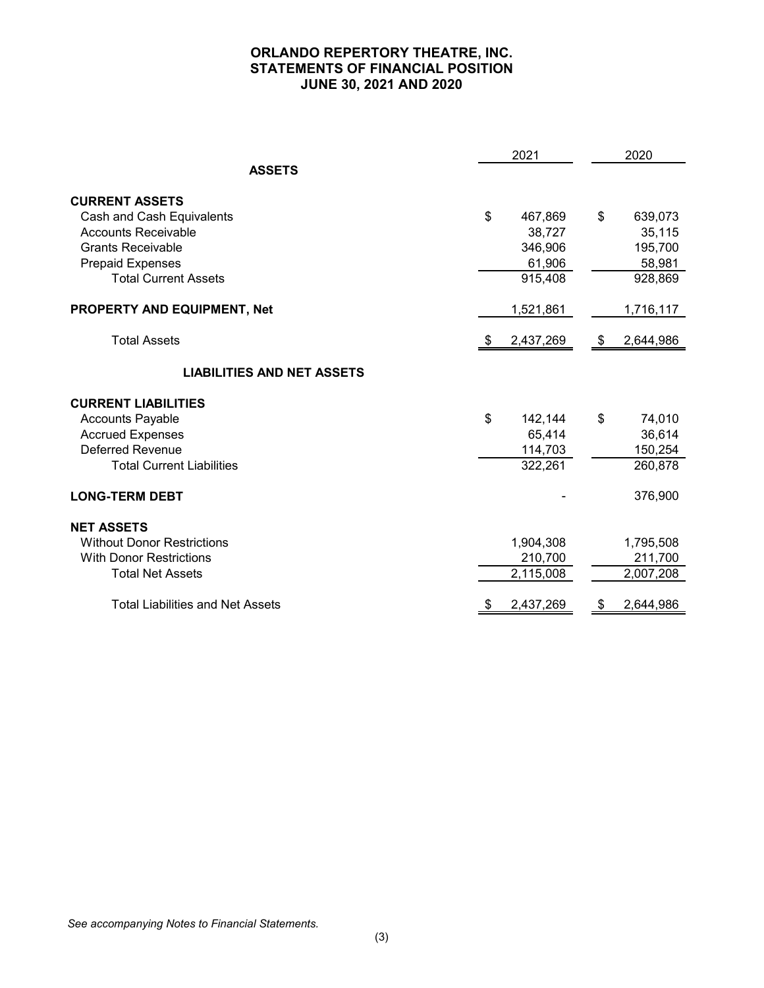# **ORLANDO REPERTORY THEATRE, INC. STATEMENTS OF FINANCIAL POSITION JUNE 30, 2021 AND 2020**

|                                         | 2021 |           |      | 2020      |  |
|-----------------------------------------|------|-----------|------|-----------|--|
| <b>ASSETS</b>                           |      |           |      |           |  |
| <b>CURRENT ASSETS</b>                   |      |           |      |           |  |
| Cash and Cash Equivalents               | \$   | 467,869   | \$   | 639,073   |  |
| <b>Accounts Receivable</b>              |      | 38,727    |      | 35,115    |  |
| <b>Grants Receivable</b>                |      | 346,906   |      | 195,700   |  |
| <b>Prepaid Expenses</b>                 |      | 61,906    |      | 58,981    |  |
| <b>Total Current Assets</b>             |      | 915,408   |      | 928,869   |  |
| PROPERTY AND EQUIPMENT, Net             |      | 1,521,861 |      | 1,716,117 |  |
| <b>Total Assets</b>                     |      | 2,437,269 | - \$ | 2,644,986 |  |
| <b>LIABILITIES AND NET ASSETS</b>       |      |           |      |           |  |
| <b>CURRENT LIABILITIES</b>              |      |           |      |           |  |
| <b>Accounts Payable</b>                 | \$   | 142,144   | \$   | 74,010    |  |
| <b>Accrued Expenses</b>                 |      | 65,414    |      | 36,614    |  |
| <b>Deferred Revenue</b>                 |      | 114,703   |      | 150,254   |  |
| <b>Total Current Liabilities</b>        |      | 322,261   |      | 260,878   |  |
| <b>LONG-TERM DEBT</b>                   |      |           |      | 376,900   |  |
| <b>NET ASSETS</b>                       |      |           |      |           |  |
| <b>Without Donor Restrictions</b>       |      | 1,904,308 |      | 1,795,508 |  |
| <b>With Donor Restrictions</b>          |      | 210,700   |      | 211,700   |  |
| <b>Total Net Assets</b>                 |      | 2,115,008 |      | 2,007,208 |  |
| <b>Total Liabilities and Net Assets</b> | \$   | 2,437,269 | \$   | 2,644,986 |  |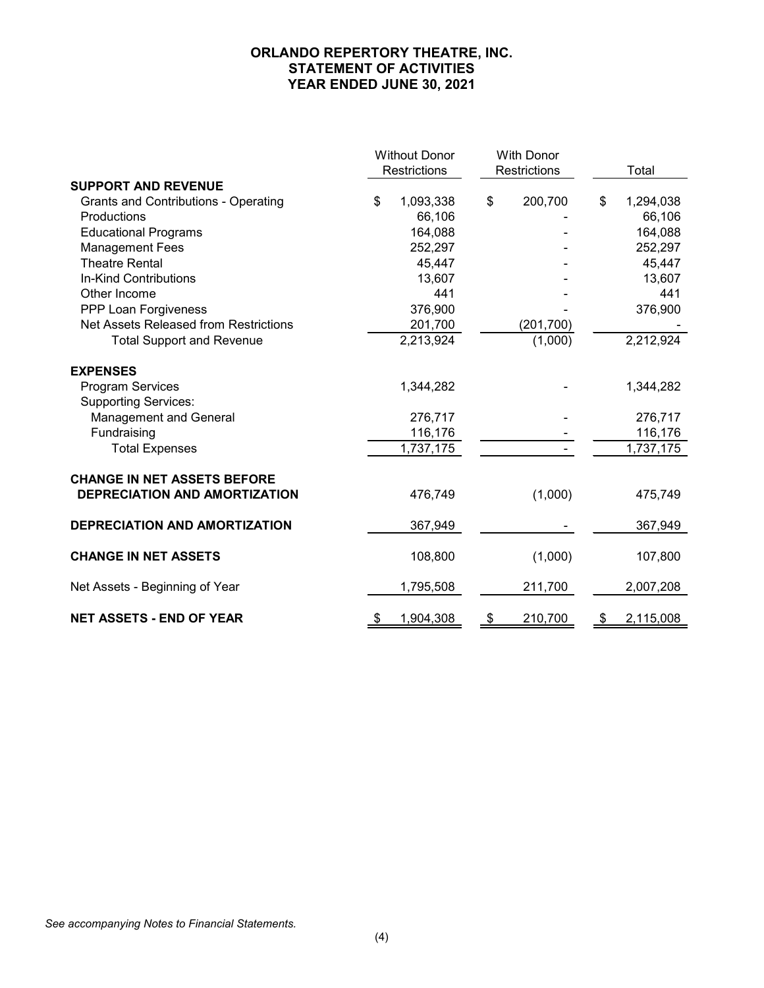# **ORLANDO REPERTORY THEATRE, INC. STATEMENT OF ACTIVITIES YEAR ENDED JUNE 30, 2021**

|                                             | <b>Without Donor</b> |              | <b>With Donor</b> |                 |
|---------------------------------------------|----------------------|--------------|-------------------|-----------------|
|                                             | Restrictions         | Restrictions |                   | Total           |
| <b>SUPPORT AND REVENUE</b>                  |                      |              |                   |                 |
| <b>Grants and Contributions - Operating</b> | \$<br>1,093,338      | \$           | 200,700           | \$<br>1,294,038 |
| Productions                                 | 66,106               |              |                   | 66,106          |
| <b>Educational Programs</b>                 | 164,088              |              |                   | 164,088         |
| <b>Management Fees</b>                      | 252,297              |              |                   | 252,297         |
| <b>Theatre Rental</b>                       | 45,447               |              |                   | 45,447          |
| In-Kind Contributions                       | 13,607               |              |                   | 13,607          |
| Other Income                                | 441                  |              |                   | 441             |
| PPP Loan Forgiveness                        | 376,900              |              |                   | 376,900         |
| Net Assets Released from Restrictions       | 201,700              |              | (201, 700)        |                 |
| <b>Total Support and Revenue</b>            | 2,213,924            |              | (1,000)           | 2,212,924       |
| <b>EXPENSES</b>                             |                      |              |                   |                 |
| <b>Program Services</b>                     | 1,344,282            |              |                   | 1,344,282       |
| <b>Supporting Services:</b>                 |                      |              |                   |                 |
| Management and General                      | 276,717              |              |                   | 276,717         |
| Fundraising                                 | 116,176              |              |                   | 116,176         |
| <b>Total Expenses</b>                       | 1,737,175            |              |                   | 1,737,175       |
| <b>CHANGE IN NET ASSETS BEFORE</b>          |                      |              |                   |                 |
| DEPRECIATION AND AMORTIZATION               | 476,749              |              | (1,000)           | 475,749         |
| DEPRECIATION AND AMORTIZATION               | 367,949              |              |                   | 367,949         |
| <b>CHANGE IN NET ASSETS</b>                 | 108,800              |              | (1,000)           | 107,800         |
|                                             |                      |              |                   |                 |
| Net Assets - Beginning of Year              | 1,795,508            |              | 211,700           | 2,007,208       |
| <b>NET ASSETS - END OF YEAR</b>             | \$<br>1,904,308      | \$           | 210,700           | \$<br>2,115,008 |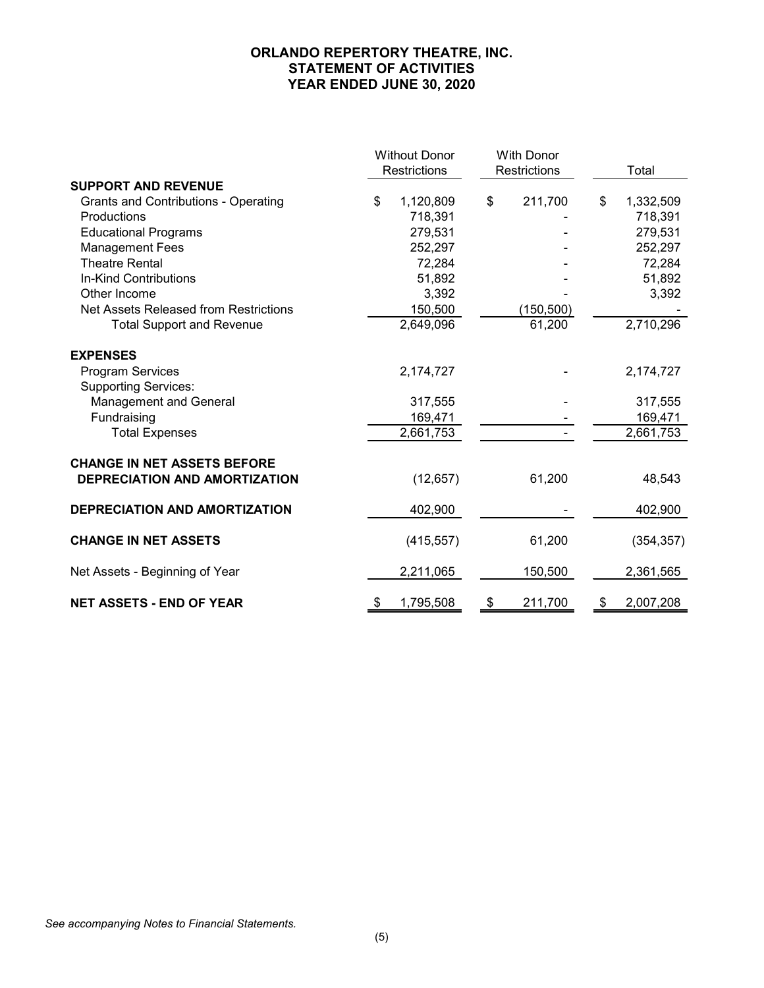# **ORLANDO REPERTORY THEATRE, INC. STATEMENT OF ACTIVITIES YEAR ENDED JUNE 30, 2020**

|                                             | <b>Without Donor</b> |              | <b>With Donor</b> |            |                 |
|---------------------------------------------|----------------------|--------------|-------------------|------------|-----------------|
|                                             |                      | Restrictions | Restrictions      |            | Total           |
| <b>SUPPORT AND REVENUE</b>                  |                      |              |                   |            |                 |
| <b>Grants and Contributions - Operating</b> | \$                   | 1,120,809    | \$                | 211,700    | \$<br>1,332,509 |
| Productions                                 |                      | 718,391      |                   |            | 718,391         |
| <b>Educational Programs</b>                 |                      | 279,531      |                   |            | 279,531         |
| <b>Management Fees</b>                      |                      | 252,297      |                   |            | 252,297         |
| <b>Theatre Rental</b>                       |                      | 72,284       |                   |            | 72,284          |
| In-Kind Contributions                       |                      | 51,892       |                   |            | 51,892          |
| Other Income                                |                      | 3,392        |                   |            | 3,392           |
| Net Assets Released from Restrictions       |                      | 150,500      |                   | (150, 500) |                 |
| <b>Total Support and Revenue</b>            |                      | 2,649,096    |                   | 61,200     | 2,710,296       |
| <b>EXPENSES</b>                             |                      |              |                   |            |                 |
| <b>Program Services</b>                     |                      | 2,174,727    |                   |            | 2,174,727       |
| <b>Supporting Services:</b>                 |                      |              |                   |            |                 |
| Management and General                      |                      | 317,555      |                   |            | 317,555         |
| Fundraising                                 |                      | 169,471      |                   |            | 169,471         |
| <b>Total Expenses</b>                       |                      | 2,661,753    |                   |            | 2,661,753       |
| <b>CHANGE IN NET ASSETS BEFORE</b>          |                      |              |                   |            |                 |
| DEPRECIATION AND AMORTIZATION               |                      | (12, 657)    |                   | 61,200     | 48,543          |
| DEPRECIATION AND AMORTIZATION               |                      | 402,900      |                   |            | 402,900         |
| <b>CHANGE IN NET ASSETS</b>                 |                      | (415, 557)   |                   | 61,200     | (354, 357)      |
| Net Assets - Beginning of Year              |                      | 2,211,065    |                   | 150,500    | 2,361,565       |
| <b>NET ASSETS - END OF YEAR</b>             | \$                   | 1,795,508    | \$                | 211,700    | \$<br>2,007,208 |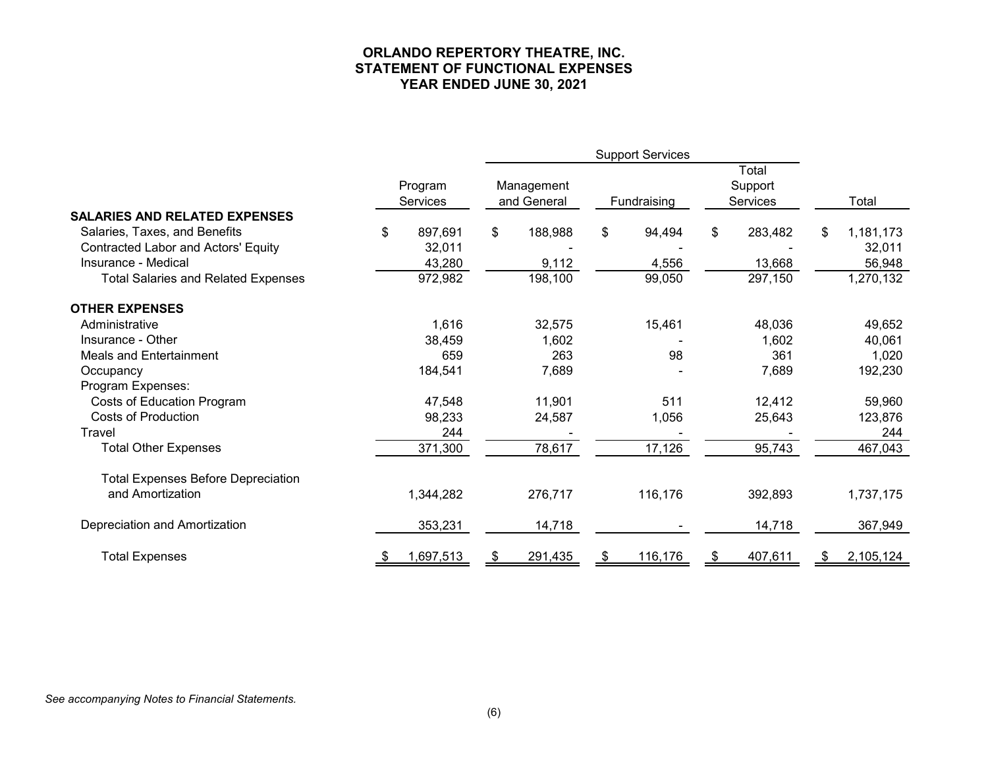## **ORLANDO REPERTORY THEATRE, INC. STATEMENT OF FUNCTIONAL EXPENSES YEAR ENDED JUNE 30, 2021**

|                                            |    |                            | <b>Support Services</b> |                           |    |             |                                     |    |           |
|--------------------------------------------|----|----------------------------|-------------------------|---------------------------|----|-------------|-------------------------------------|----|-----------|
|                                            |    | Program<br><b>Services</b> |                         | Management<br>and General |    | Fundraising | Total<br>Support<br><b>Services</b> |    | Total     |
| <b>SALARIES AND RELATED EXPENSES</b>       |    |                            |                         |                           |    |             |                                     |    |           |
| Salaries, Taxes, and Benefits              | \$ | 897,691                    | \$                      | 188,988                   | \$ | 94,494      | \$<br>283,482                       | \$ | 1,181,173 |
| <b>Contracted Labor and Actors' Equity</b> |    | 32,011                     |                         |                           |    |             |                                     |    | 32,011    |
| Insurance - Medical                        |    | 43,280                     |                         | 9,112                     |    | 4,556       | 13,668                              |    | 56,948    |
| <b>Total Salaries and Related Expenses</b> |    | 972,982                    |                         | 198,100                   |    | 99,050      | 297,150                             |    | 1,270,132 |
| <b>OTHER EXPENSES</b>                      |    |                            |                         |                           |    |             |                                     |    |           |
| Administrative                             |    | 1,616                      |                         | 32,575                    |    | 15,461      | 48,036                              |    | 49,652    |
| Insurance - Other                          |    | 38,459                     |                         | 1,602                     |    |             | 1,602                               |    | 40,061    |
| <b>Meals and Entertainment</b>             |    | 659                        |                         | 263                       |    | 98          | 361                                 |    | 1,020     |
| Occupancy                                  |    | 184,541                    |                         | 7,689                     |    |             | 7,689                               |    | 192,230   |
| Program Expenses:                          |    |                            |                         |                           |    |             |                                     |    |           |
| Costs of Education Program                 |    | 47,548                     |                         | 11,901                    |    | 511         | 12,412                              |    | 59,960    |
| <b>Costs of Production</b>                 |    | 98,233                     |                         | 24,587                    |    | 1,056       | 25,643                              |    | 123,876   |
| Travel                                     |    | 244                        |                         |                           |    |             |                                     |    | 244       |
| <b>Total Other Expenses</b>                |    | 371,300                    |                         | 78,617                    |    | 17,126      | 95,743                              |    | 467,043   |
| <b>Total Expenses Before Depreciation</b>  |    |                            |                         |                           |    |             |                                     |    |           |
| and Amortization                           |    | 1,344,282                  |                         | 276,717                   |    | 116,176     | 392,893                             |    | 1,737,175 |
| Depreciation and Amortization              |    | 353,231                    |                         | 14,718                    |    |             | 14,718                              |    | 367,949   |
| <b>Total Expenses</b>                      | S. | 1,697,513                  | \$                      | 291,435                   | \$ | 116,176     | \$<br>407,611                       | S. | 2,105,124 |

#### *See accompanying Notes to Financial Statements.*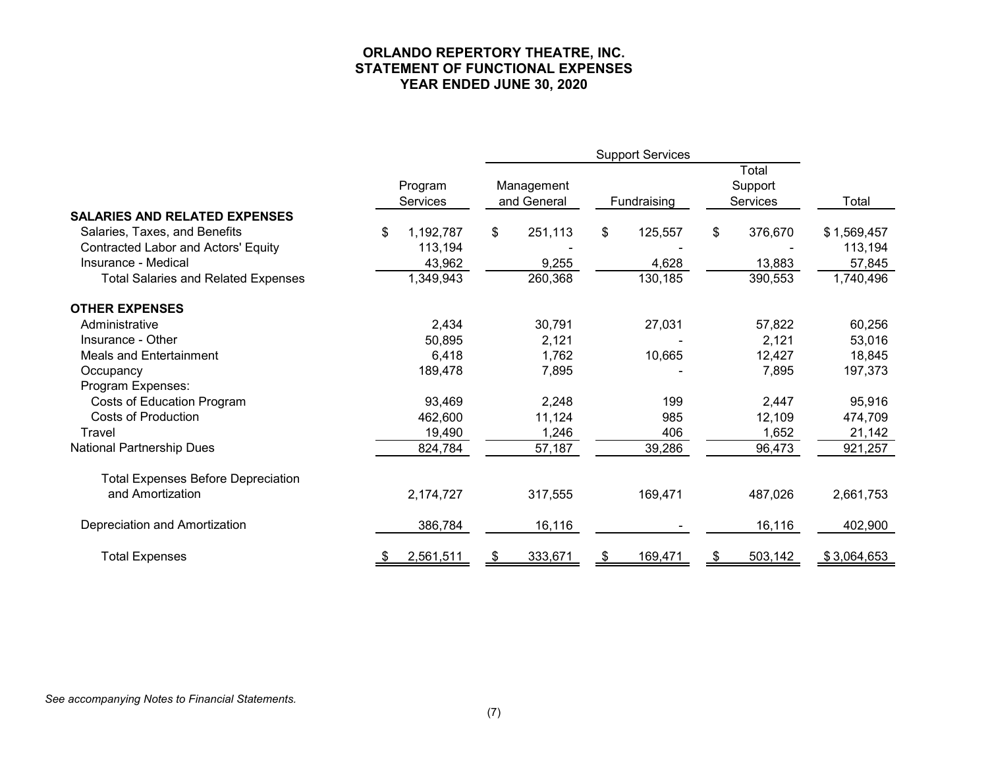## **ORLANDO REPERTORY THEATRE, INC. STATEMENT OF FUNCTIONAL EXPENSES YEAR ENDED JUNE 30, 2020**

|                                            | Program<br>Services | Management<br>and General | Fundraising   | Total<br>Support<br>Services | Total       |
|--------------------------------------------|---------------------|---------------------------|---------------|------------------------------|-------------|
| <b>SALARIES AND RELATED EXPENSES</b>       |                     |                           |               |                              |             |
| Salaries, Taxes, and Benefits              | \$<br>1,192,787     | \$<br>251,113             | \$<br>125,557 | \$<br>376,670                | \$1,569,457 |
| <b>Contracted Labor and Actors' Equity</b> | 113,194             |                           |               |                              | 113,194     |
| Insurance - Medical                        | 43,962              | 9,255                     | 4,628         | 13,883                       | 57,845      |
| <b>Total Salaries and Related Expenses</b> | 1,349,943           | 260,368                   | 130,185       | 390,553                      | 1,740,496   |
| <b>OTHER EXPENSES</b>                      |                     |                           |               |                              |             |
| Administrative                             | 2,434               | 30,791                    | 27,031        | 57,822                       | 60,256      |
| Insurance - Other                          | 50,895              | 2,121                     |               | 2,121                        | 53,016      |
| Meals and Entertainment                    | 6,418               | 1,762                     | 10,665        | 12,427                       | 18,845      |
| Occupancy                                  | 189,478             | 7,895                     |               | 7,895                        | 197,373     |
| Program Expenses:                          |                     |                           |               |                              |             |
| Costs of Education Program                 | 93,469              | 2,248                     | 199           | 2,447                        | 95,916      |
| <b>Costs of Production</b>                 | 462,600             | 11,124                    | 985           | 12,109                       | 474,709     |
| Travel                                     | 19,490              | 1,246                     | 406           | 1,652                        | 21,142      |
| <b>National Partnership Dues</b>           | 824,784             | 57,187                    | 39,286        | 96,473                       | 921,257     |
| <b>Total Expenses Before Depreciation</b>  |                     |                           |               |                              |             |
| and Amortization                           | 2,174,727           | 317,555                   | 169,471       | 487,026                      | 2,661,753   |
| Depreciation and Amortization              | 386,784             | 16,116                    |               | 16,116                       | 402,900     |
| <b>Total Expenses</b>                      | 2,561,511<br>\$     | 333,671<br>\$             | 169,471<br>\$ | 503,142<br>\$                | \$3,064,653 |

#### *See accompanying Notes to Financial Statements.*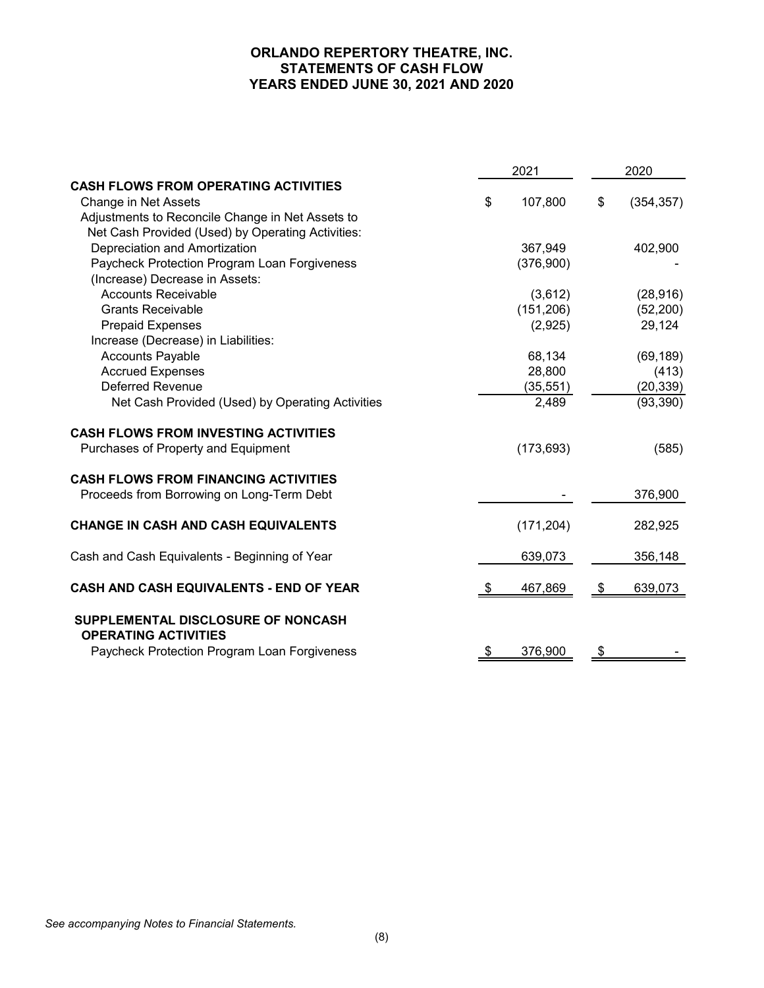# **ORLANDO REPERTORY THEATRE, INC. STATEMENTS OF CASH FLOW YEARS ENDED JUNE 30, 2021 AND 2020**

|                                                                   |      | 2021       |               | 2020       |  |
|-------------------------------------------------------------------|------|------------|---------------|------------|--|
| <b>CASH FLOWS FROM OPERATING ACTIVITIES</b>                       |      |            |               |            |  |
| Change in Net Assets                                              | \$   | 107,800    | \$            | (354, 357) |  |
| Adjustments to Reconcile Change in Net Assets to                  |      |            |               |            |  |
| Net Cash Provided (Used) by Operating Activities:                 |      |            |               |            |  |
| Depreciation and Amortization                                     |      | 367,949    |               | 402,900    |  |
| Paycheck Protection Program Loan Forgiveness                      |      | (376,900)  |               |            |  |
| (Increase) Decrease in Assets:                                    |      |            |               |            |  |
| <b>Accounts Receivable</b>                                        |      | (3,612)    |               | (28, 916)  |  |
| <b>Grants Receivable</b>                                          |      | (151, 206) |               | (52, 200)  |  |
| <b>Prepaid Expenses</b>                                           |      | (2,925)    |               | 29,124     |  |
| Increase (Decrease) in Liabilities:                               |      |            |               |            |  |
| <b>Accounts Payable</b>                                           |      | 68,134     |               | (69, 189)  |  |
| <b>Accrued Expenses</b>                                           |      | 28,800     |               | (413)      |  |
| <b>Deferred Revenue</b>                                           |      | (35, 551)  |               | (20, 339)  |  |
| Net Cash Provided (Used) by Operating Activities                  |      | 2,489      |               | (93, 390)  |  |
| <b>CASH FLOWS FROM INVESTING ACTIVITIES</b>                       |      |            |               |            |  |
| Purchases of Property and Equipment                               |      | (173, 693) |               | (585)      |  |
| <b>CASH FLOWS FROM FINANCING ACTIVITIES</b>                       |      |            |               |            |  |
| Proceeds from Borrowing on Long-Term Debt                         |      |            |               | 376,900    |  |
| <b>CHANGE IN CASH AND CASH EQUIVALENTS</b>                        |      | (171, 204) |               | 282,925    |  |
| Cash and Cash Equivalents - Beginning of Year                     |      | 639,073    |               | 356,148    |  |
| CASH AND CASH EQUIVALENTS - END OF YEAR                           | - \$ | 467,869    | \$            | 639,073    |  |
| SUPPLEMENTAL DISCLOSURE OF NONCASH<br><b>OPERATING ACTIVITIES</b> |      |            |               |            |  |
| Paycheck Protection Program Loan Forgiveness                      | \$   | 376,900    | $\frac{1}{2}$ |            |  |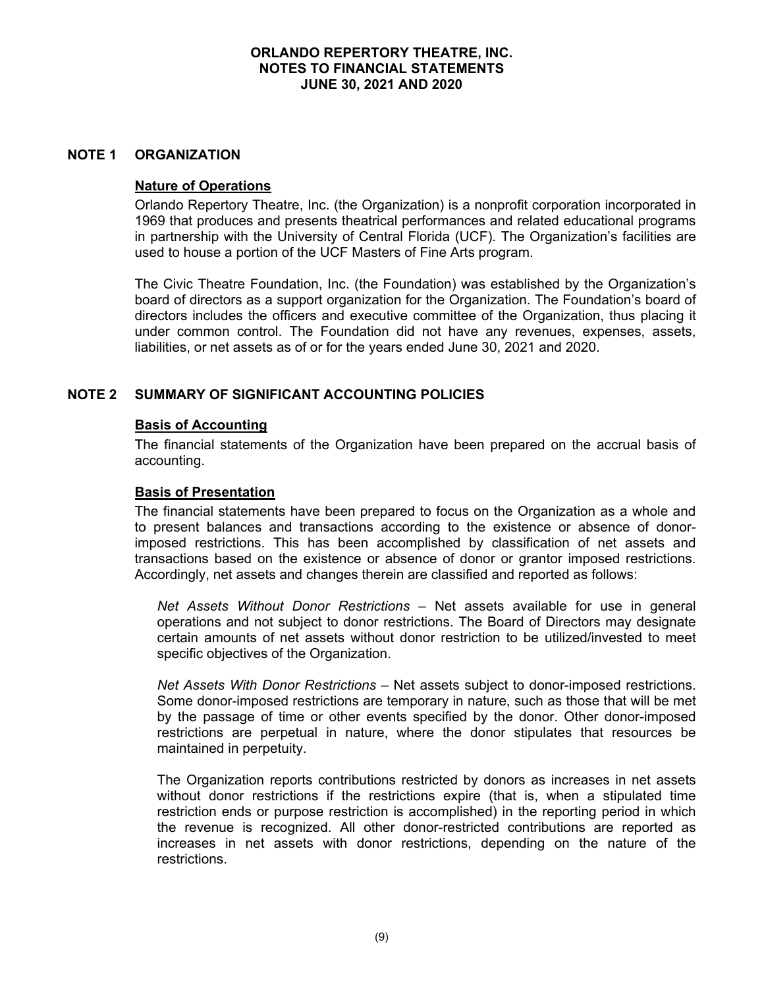#### **NOTE 1 ORGANIZATION**

#### **Nature of Operations**

Orlando Repertory Theatre, Inc. (the Organization) is a nonprofit corporation incorporated in 1969 that produces and presents theatrical performances and related educational programs in partnership with the University of Central Florida (UCF). The Organization's facilities are used to house a portion of the UCF Masters of Fine Arts program.

The Civic Theatre Foundation, Inc. (the Foundation) was established by the Organization's board of directors as a support organization for the Organization. The Foundation's board of directors includes the officers and executive committee of the Organization, thus placing it under common control. The Foundation did not have any revenues, expenses, assets, liabilities, or net assets as of or for the years ended June 30, 2021 and 2020.

## **NOTE 2 SUMMARY OF SIGNIFICANT ACCOUNTING POLICIES**

#### **Basis of Accounting**

The financial statements of the Organization have been prepared on the accrual basis of accounting.

#### **Basis of Presentation**

The financial statements have been prepared to focus on the Organization as a whole and to present balances and transactions according to the existence or absence of donorimposed restrictions. This has been accomplished by classification of net assets and transactions based on the existence or absence of donor or grantor imposed restrictions. Accordingly, net assets and changes therein are classified and reported as follows:

*Net Assets Without Donor Restrictions* – Net assets available for use in general operations and not subject to donor restrictions. The Board of Directors may designate certain amounts of net assets without donor restriction to be utilized/invested to meet specific objectives of the Organization.

*Net Assets With Donor Restrictions* – Net assets subject to donor-imposed restrictions. Some donor-imposed restrictions are temporary in nature, such as those that will be met by the passage of time or other events specified by the donor. Other donor-imposed restrictions are perpetual in nature, where the donor stipulates that resources be maintained in perpetuity.

The Organization reports contributions restricted by donors as increases in net assets without donor restrictions if the restrictions expire (that is, when a stipulated time restriction ends or purpose restriction is accomplished) in the reporting period in which the revenue is recognized. All other donor-restricted contributions are reported as increases in net assets with donor restrictions, depending on the nature of the restrictions.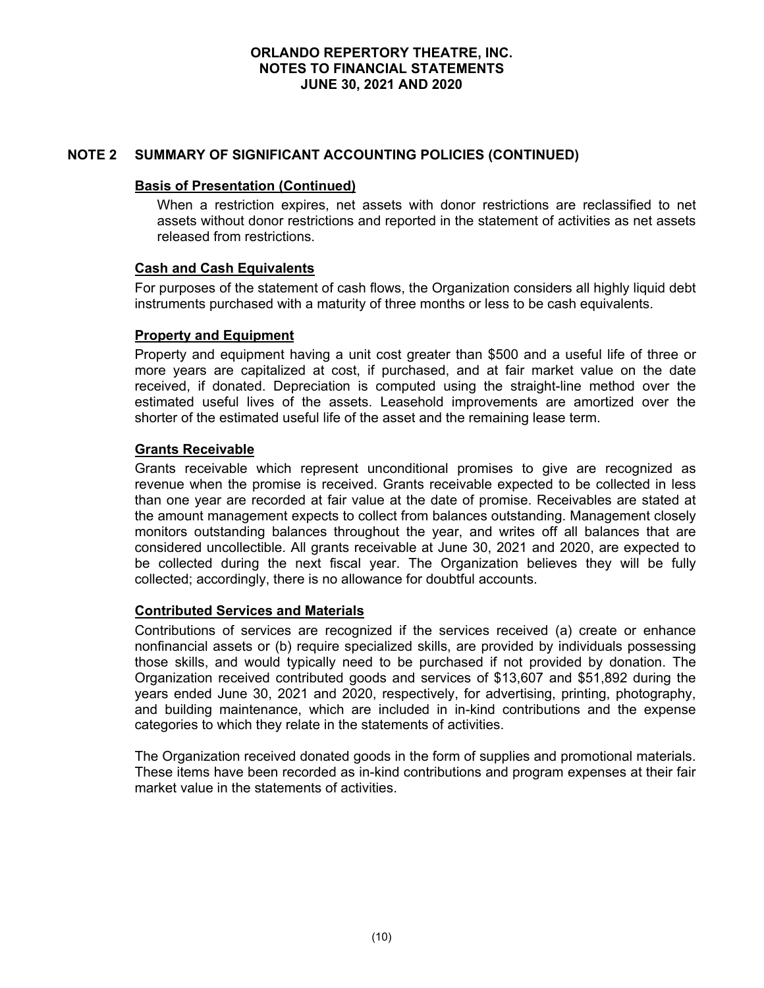# **NOTE 2 SUMMARY OF SIGNIFICANT ACCOUNTING POLICIES (CONTINUED)**

#### **Basis of Presentation (Continued)**

When a restriction expires, net assets with donor restrictions are reclassified to net assets without donor restrictions and reported in the statement of activities as net assets released from restrictions.

#### **Cash and Cash Equivalents**

For purposes of the statement of cash flows, the Organization considers all highly liquid debt instruments purchased with a maturity of three months or less to be cash equivalents.

## **Property and Equipment**

Property and equipment having a unit cost greater than \$500 and a useful life of three or more years are capitalized at cost, if purchased, and at fair market value on the date received, if donated. Depreciation is computed using the straight-line method over the estimated useful lives of the assets. Leasehold improvements are amortized over the shorter of the estimated useful life of the asset and the remaining lease term.

## **Grants Receivable**

Grants receivable which represent unconditional promises to give are recognized as revenue when the promise is received. Grants receivable expected to be collected in less than one year are recorded at fair value at the date of promise. Receivables are stated at the amount management expects to collect from balances outstanding. Management closely monitors outstanding balances throughout the year, and writes off all balances that are considered uncollectible. All grants receivable at June 30, 2021 and 2020, are expected to be collected during the next fiscal year. The Organization believes they will be fully collected; accordingly, there is no allowance for doubtful accounts.

# **Contributed Services and Materials**

Contributions of services are recognized if the services received (a) create or enhance nonfinancial assets or (b) require specialized skills, are provided by individuals possessing those skills, and would typically need to be purchased if not provided by donation. The Organization received contributed goods and services of \$13,607 and \$51,892 during the years ended June 30, 2021 and 2020, respectively, for advertising, printing, photography, and building maintenance, which are included in in-kind contributions and the expense categories to which they relate in the statements of activities.

The Organization received donated goods in the form of supplies and promotional materials. These items have been recorded as in-kind contributions and program expenses at their fair market value in the statements of activities.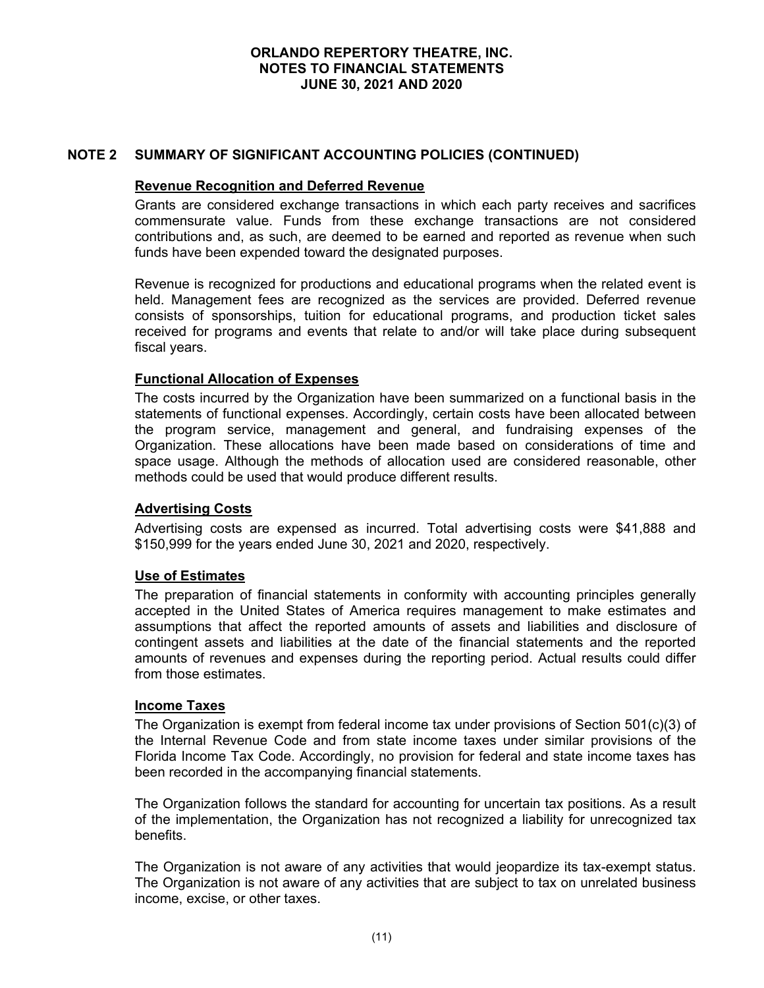## **NOTE 2 SUMMARY OF SIGNIFICANT ACCOUNTING POLICIES (CONTINUED)**

#### **Revenue Recognition and Deferred Revenue**

Grants are considered exchange transactions in which each party receives and sacrifices commensurate value. Funds from these exchange transactions are not considered contributions and, as such, are deemed to be earned and reported as revenue when such funds have been expended toward the designated purposes.

Revenue is recognized for productions and educational programs when the related event is held. Management fees are recognized as the services are provided. Deferred revenue consists of sponsorships, tuition for educational programs, and production ticket sales received for programs and events that relate to and/or will take place during subsequent fiscal years.

#### **Functional Allocation of Expenses**

The costs incurred by the Organization have been summarized on a functional basis in the statements of functional expenses. Accordingly, certain costs have been allocated between the program service, management and general, and fundraising expenses of the Organization. These allocations have been made based on considerations of time and space usage. Although the methods of allocation used are considered reasonable, other methods could be used that would produce different results.

#### **Advertising Costs**

Advertising costs are expensed as incurred. Total advertising costs were \$41,888 and \$150,999 for the years ended June 30, 2021 and 2020, respectively.

#### **Use of Estimates**

The preparation of financial statements in conformity with accounting principles generally accepted in the United States of America requires management to make estimates and assumptions that affect the reported amounts of assets and liabilities and disclosure of contingent assets and liabilities at the date of the financial statements and the reported amounts of revenues and expenses during the reporting period. Actual results could differ from those estimates.

#### **Income Taxes**

The Organization is exempt from federal income tax under provisions of Section 501(c)(3) of the Internal Revenue Code and from state income taxes under similar provisions of the Florida Income Tax Code. Accordingly, no provision for federal and state income taxes has been recorded in the accompanying financial statements.

The Organization follows the standard for accounting for uncertain tax positions. As a result of the implementation, the Organization has not recognized a liability for unrecognized tax benefits.

The Organization is not aware of any activities that would jeopardize its tax-exempt status. The Organization is not aware of any activities that are subject to tax on unrelated business income, excise, or other taxes.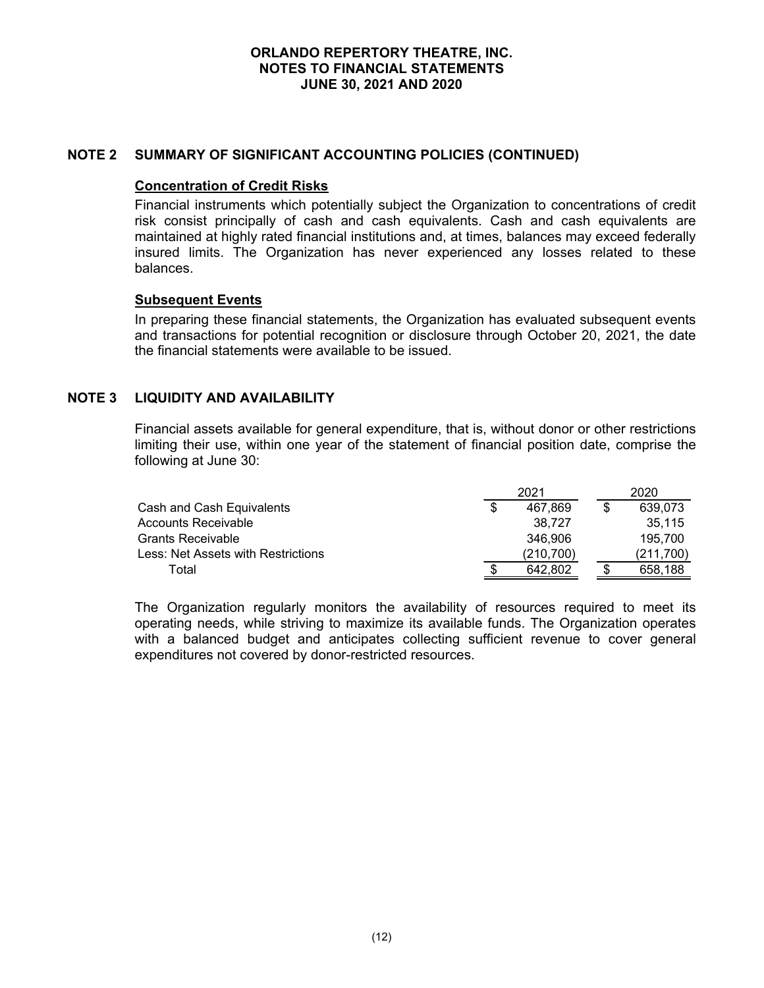## **NOTE 2 SUMMARY OF SIGNIFICANT ACCOUNTING POLICIES (CONTINUED)**

#### **Concentration of Credit Risks**

Financial instruments which potentially subject the Organization to concentrations of credit risk consist principally of cash and cash equivalents. Cash and cash equivalents are maintained at highly rated financial institutions and, at times, balances may exceed federally insured limits. The Organization has never experienced any losses related to these balances.

#### **Subsequent Events**

In preparing these financial statements, the Organization has evaluated subsequent events and transactions for potential recognition or disclosure through October 20, 2021, the date the financial statements were available to be issued.

# **NOTE 3 LIQUIDITY AND AVAILABILITY**

Financial assets available for general expenditure, that is, without donor or other restrictions limiting their use, within one year of the statement of financial position date, comprise the following at June 30:

|                                    | 2021       | 2020      |
|------------------------------------|------------|-----------|
| Cash and Cash Equivalents          | 467.869    | 639.073   |
| Accounts Receivable                | 38.727     | 35.115    |
| <b>Grants Receivable</b>           | 346.906    | 195.700   |
| Less: Net Assets with Restrictions | (210, 700) | (211,700) |
| Total                              | 642.802    | 658.188   |

The Organization regularly monitors the availability of resources required to meet its operating needs, while striving to maximize its available funds. The Organization operates with a balanced budget and anticipates collecting sufficient revenue to cover general expenditures not covered by donor-restricted resources.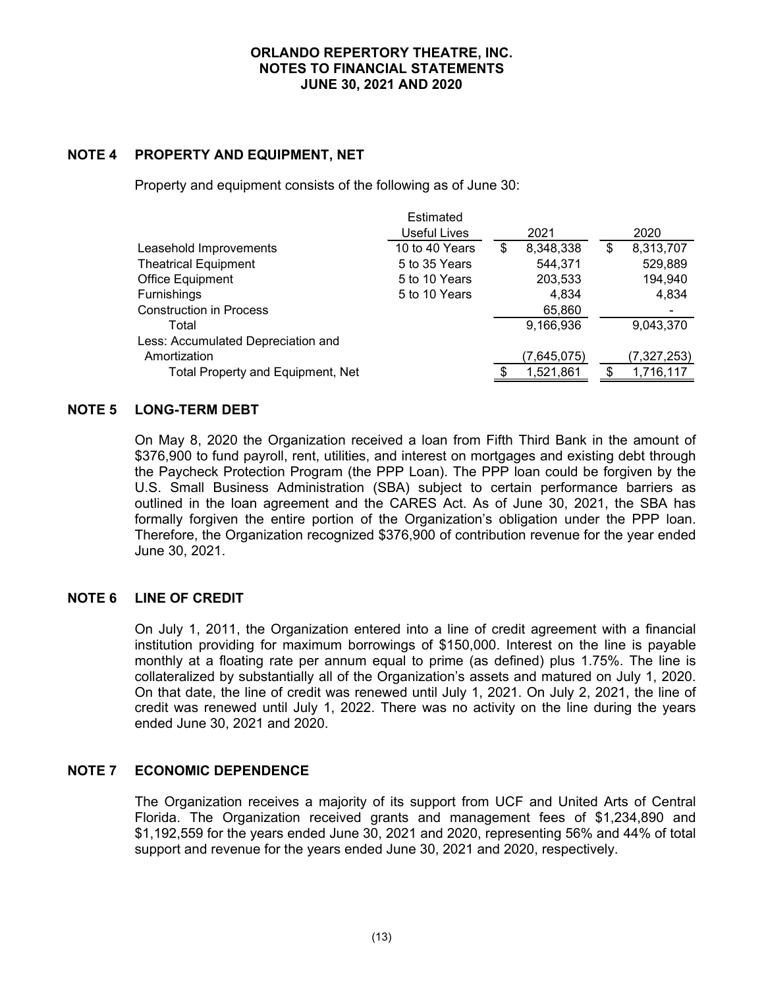# **NOTE 4 PROPERTY AND EQUIPMENT, NET**

Property and equipment consists of the following as of June 30:

|                                    | Estimated      |                 |                 |
|------------------------------------|----------------|-----------------|-----------------|
|                                    | Useful Lives   | 2021            | 2020            |
| Leasehold Improvements             | 10 to 40 Years | \$<br>8,348,338 | \$<br>8,313,707 |
| <b>Theatrical Equipment</b>        | 5 to 35 Years  | 544,371         | 529,889         |
| Office Equipment                   | 5 to 10 Years  | 203,533         | 194,940         |
| <b>Furnishings</b>                 | 5 to 10 Years  | 4,834           | 4,834           |
| <b>Construction in Process</b>     |                | 65,860          |                 |
| Total                              |                | 9,166,936       | 9,043,370       |
| Less: Accumulated Depreciation and |                |                 |                 |
| Amortization                       |                | (7,645,075)     | (7,327,253)     |
| Total Property and Equipment, Net  |                | 1,521,861       | 1,716,117       |

## **NOTE 5 LONG-TERM DEBT**

On May 8, 2020 the Organization received a loan from Fifth Third Bank in the amount of \$376,900 to fund payroll, rent, utilities, and interest on mortgages and existing debt through the Paycheck Protection Program (the PPP Loan). The PPP loan could be forgiven by the U.S. Small Business Administration (SBA) subject to certain performance barriers as outlined in the loan agreement and the CARES Act. As of June 30, 2021, the SBA has formally forgiven the entire portion of the Organization's obligation under the PPP loan. Therefore, the Organization recognized \$376,900 of contribution revenue for the year ended June 30, 2021.

### **NOTE 6 LINE OF CREDIT**

On July 1, 2011, the Organization entered into a line of credit agreement with a financial institution providing for maximum borrowings of \$150,000. Interest on the line is payable monthly at a floating rate per annum equal to prime (as defined) plus 1.75%. The line is collateralized by substantially all of the Organization's assets and matured on July 1, 2020. On that date, the line of credit was renewed until July 1, 2021. On July 2, 2021, the line of credit was renewed until July 1, 2022. There was no activity on the line during the years ended June 30, 2021 and 2020.

## **NOTE 7 ECONOMIC DEPENDENCE**

The Organization receives a majority of its support from UCF and United Arts of Central Florida. The Organization received grants and management fees of \$1,234,890 and \$1,192,559 for the years ended June 30, 2021 and 2020, representing 56% and 44% of total support and revenue for the years ended June 30, 2021 and 2020, respectively.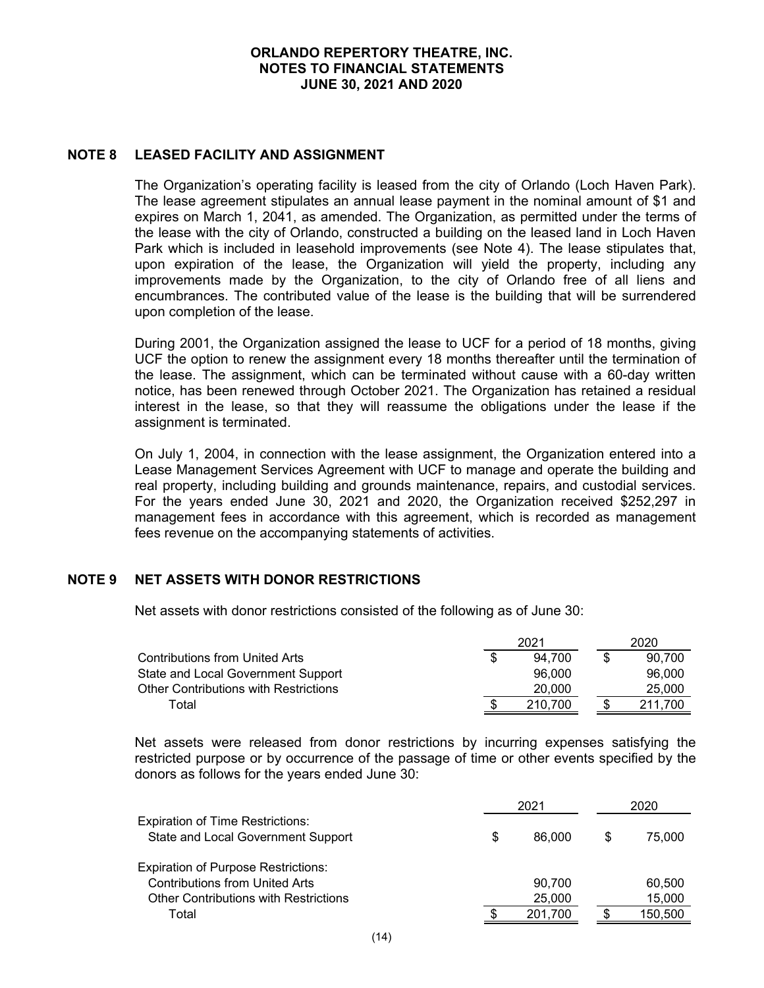# **NOTE 8 LEASED FACILITY AND ASSIGNMENT**

The Organization's operating facility is leased from the city of Orlando (Loch Haven Park). The lease agreement stipulates an annual lease payment in the nominal amount of \$1 and expires on March 1, 2041, as amended. The Organization, as permitted under the terms of the lease with the city of Orlando, constructed a building on the leased land in Loch Haven Park which is included in leasehold improvements (see Note 4). The lease stipulates that, upon expiration of the lease, the Organization will yield the property, including any improvements made by the Organization, to the city of Orlando free of all liens and encumbrances. The contributed value of the lease is the building that will be surrendered upon completion of the lease.

During 2001, the Organization assigned the lease to UCF for a period of 18 months, giving UCF the option to renew the assignment every 18 months thereafter until the termination of the lease. The assignment, which can be terminated without cause with a 60-day written notice, has been renewed through October 2021. The Organization has retained a residual interest in the lease, so that they will reassume the obligations under the lease if the assignment is terminated.

On July 1, 2004, in connection with the lease assignment, the Organization entered into a Lease Management Services Agreement with UCF to manage and operate the building and real property, including building and grounds maintenance, repairs, and custodial services. For the years ended June 30, 2021 and 2020, the Organization received \$252,297 in management fees in accordance with this agreement, which is recorded as management fees revenue on the accompanying statements of activities.

# **NOTE 9 NET ASSETS WITH DONOR RESTRICTIONS**

Net assets with donor restrictions consisted of the following as of June 30:

|                                       | 2021    |  | 2020    |
|---------------------------------------|---------|--|---------|
| Contributions from United Arts        | 94.700  |  | 90.700  |
| State and Local Government Support    | 96,000  |  | 96,000  |
| Other Contributions with Restrictions | 20,000  |  | 25,000  |
| Total                                 | 210.700 |  | 211.700 |

Net assets were released from donor restrictions by incurring expenses satisfying the restricted purpose or by occurrence of the passage of time or other events specified by the donors as follows for the years ended June 30:

|                                                                               | $202 -$      |     | 2020    |
|-------------------------------------------------------------------------------|--------------|-----|---------|
| <b>Expiration of Time Restrictions:</b><br>State and Local Government Support | \$<br>86,000 | \$. | 75,000  |
| <b>Expiration of Purpose Restrictions:</b>                                    |              |     |         |
| <b>Contributions from United Arts</b>                                         | 90.700       |     | 60,500  |
| <b>Other Contributions with Restrictions</b>                                  | 25,000       |     | 15,000  |
| Total                                                                         | 201.700      |     | 150,500 |